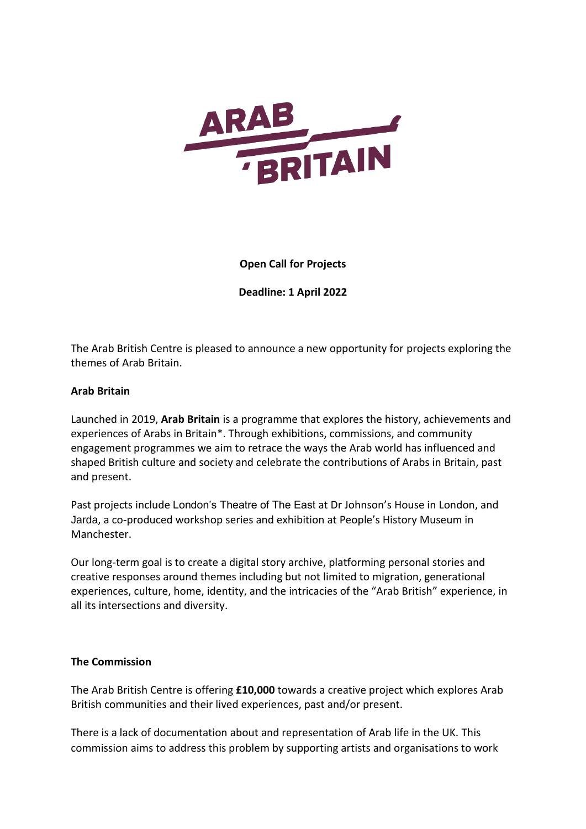

# **Open Call for Projects**

**Deadline: 1 April 2022**

The Arab British Centre is pleased to announce a new opportunity for projects exploring the themes of Arab Britain.

## **Arab Britain**

Launched in 2019, **Arab Britain** is a programme that explores the history, achievements and experiences of Arabs in Britain\*. Through exhibitions, commissions, and community engagement programmes we aim to retrace the ways the Arab world has influenced and shaped British culture and society and celebrate the contributions of Arabs in Britain, past and present.

Past projects include [London's Theatre of The East](https://www.arabbritishcentre.org.uk/projects/arab-britain/londons-theatre-of-the-east/) at Dr Johnson's House in London, and [Jarda](https://www.arabbritishcentre.org.uk/projects/arab-britain/jarda/), a co-produced workshop series and exhibition at People's History Museum in Manchester.

Our long-term goal is to create a digital story archive, platforming personal stories and creative responses around themes including but not limited to migration, generational experiences, culture, home, identity, and the intricacies of the "Arab British" experience, in all its intersections and diversity.

#### **The Commission**

The Arab British Centre is offering **£10,000** towards a creative project which explores Arab British communities and their lived experiences, past and/or present.

There is a lack of documentation about and representation of Arab life in the UK. This commission aims to address this problem by supporting artists and organisations to work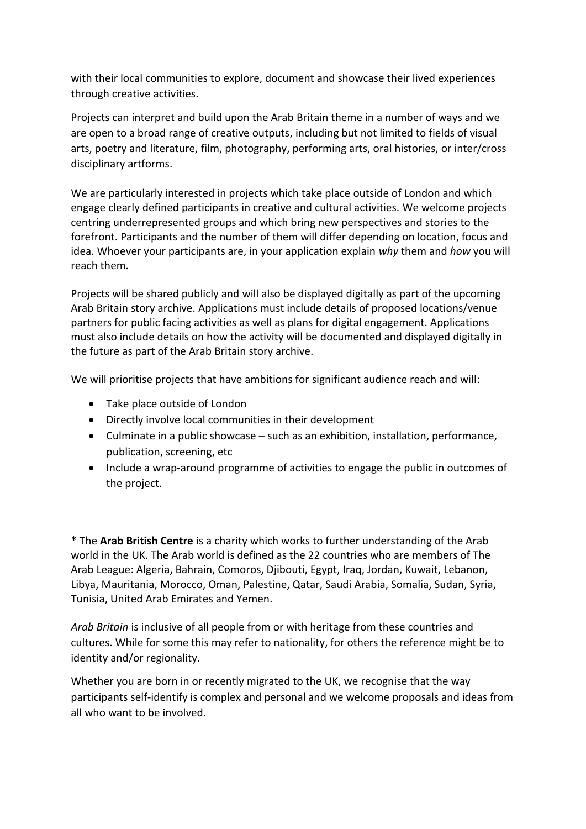with their local communities to explore, document and showcase their lived experiences through creative activities.

Projects can interpret and build upon the Arab Britain theme in a number of ways and we are open to a broad range of creative outputs, including but not limited to fields of visual arts, poetry and literature, film, photography, performing arts, oral histories, or inter/cross disciplinary artforms.

We are particularly interested in projects which take place outside of London and which engage clearly defined participants in creative and cultural activities. We welcome projects centring underrepresented groups and which bring new perspectives and stories to the forefront. Participants and the number of them will differ depending on location, focus and idea. Whoever your participants are, in your application explain *why* them and *how* you will reach them*.*

Projects will be shared publicly and will also be displayed digitally as part of the upcoming Arab Britain story archive. Applications must include details of proposed locations/venue partners for public facing activities as well as plans for digital engagement. Applications must also include details on how the activity will be documented and displayed digitally in the future as part of the Arab Britain story archive.

We will prioritise projects that have ambitions for significant audience reach and will:

- Take place outside of London
- Directly involve local communities in their development
- Culminate in a public showcase such as an exhibition, installation, performance, publication, screening, etc
- Include a wrap-around programme of activities to engage the public in outcomes of the project.

\* The **Arab British Centre** is a charity which works to further understanding of the Arab world in the UK. The Arab world is defined as the 22 countries who are members of The Arab League: Algeria, Bahrain, Comoros, Djibouti, Egypt, Iraq, Jordan, Kuwait, Lebanon, Libya, Mauritania, Morocco, Oman, Palestine, Qatar, Saudi Arabia, Somalia, Sudan, Syria, Tunisia, United Arab Emirates and Yemen.

*Arab Britain* is inclusive of all people from or with heritage from these countries and cultures. While for some this may refer to nationality, for others the reference might be to identity and/or regionality.

Whether you are born in or recently migrated to the UK, we recognise that the way participants self-identify is complex and personal and we welcome proposals and ideas from all who want to be involved.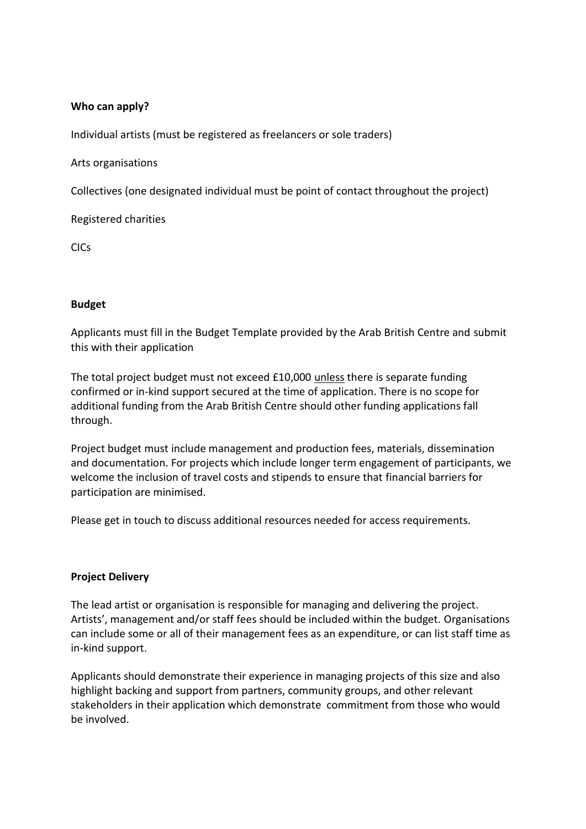# **Who can apply?**

Individual artists (must be registered as freelancers or sole traders)

Arts organisations

Collectives (one designated individual must be point of contact throughout the project)

Registered charities

CICs

## **Budget**

Applicants must fill in the Budget Template provided by the Arab British Centre and submit this with their application

The total project budget must not exceed £10,000 unless there is separate funding confirmed or in-kind support secured at the time of application. There is no scope for additional funding from the Arab British Centre should other funding applications fall through.

Project budget must include management and production fees, materials, dissemination and documentation. For projects which include longer term engagement of participants, we welcome the inclusion of travel costs and stipends to ensure that financial barriers for participation are minimised.

Please get in touch to discuss additional resources needed for access requirements.

#### **Project Delivery**

The lead artist or organisation is responsible for managing and delivering the project. Artists', management and/or staff fees should be included within the budget. Organisations can include some or all of their management fees as an expenditure, or can list staff time as in-kind support.

Applicants should demonstrate their experience in managing projects of this size and also highlight backing and support from partners, community groups, and other relevant stakeholders in their application which demonstrate commitment from those who would be involved.